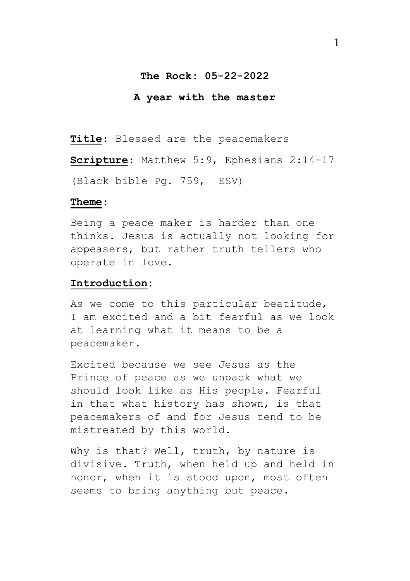### **The Rock: 05-22-2022**

#### **A year with the master**

**Title**: Blessed are the peacemakers

**Scripture**: Matthew 5:9, Ephesians 2:14-17 (Black bible Pg. 759, ESV)

#### **Theme**:

Being a peace maker is harder than one thinks. Jesus is actually not looking for appeasers, but rather truth tellers who operate in love.

### **Introduction:**

As we come to this particular beatitude, I am excited and a bit fearful as we look at learning what it means to be a peacemaker.

Excited because we see Jesus as the Prince of peace as we unpack what we should look like as His people. Fearful in that what history has shown, is that peacemakers of and for Jesus tend to be mistreated by this world.

Why is that? Well, truth, by nature is divisive. Truth, when held up and held in honor, when it is stood upon, most often seems to bring anything but peace.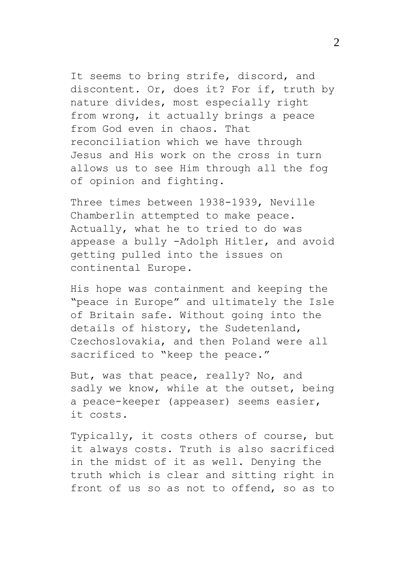It seems to bring strife, discord, and discontent. Or, does it? For if, truth by nature divides, most especially right from wrong, it actually brings a peace from God even in chaos. That reconciliation which we have through Jesus and His work on the cross in turn allows us to see Him through all the fog of opinion and fighting.

Three times between 1938-1939, Neville Chamberlin attempted to make peace. Actually, what he to tried to do was appease a bully -Adolph Hitler, and avoid getting pulled into the issues on continental Europe.

His hope was containment and keeping the "peace in Europe" and ultimately the Isle of Britain safe. Without going into the details of history, the Sudetenland, Czechoslovakia, and then Poland were all sacrificed to "keep the peace."

But, was that peace, really? No, and sadly we know, while at the outset, being a peace-keeper (appeaser) seems easier, it costs.

Typically, it costs others of course, but it always costs. Truth is also sacrificed in the midst of it as well. Denying the truth which is clear and sitting right in front of us so as not to offend, so as to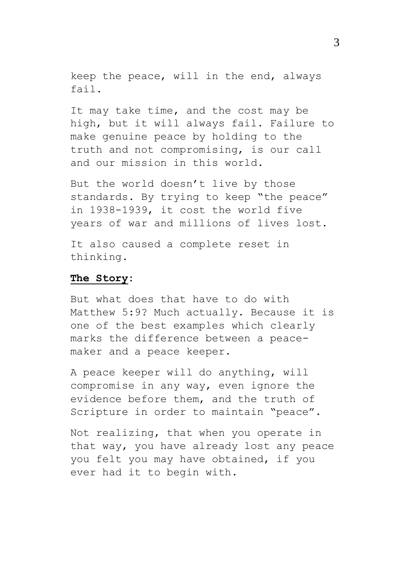keep the peace, will in the end, always fail.

It may take time, and the cost may be high, but it will always fail. Failure to make genuine peace by holding to the truth and not compromising, is our call and our mission in this world.

But the world doesn't live by those standards. By trying to keep "the peace" in 1938-1939, it cost the world five years of war and millions of lives lost.

It also caused a complete reset in thinking.

## **The Story:**

But what does that have to do with Matthew 5:9? Much actually. Because it is one of the best examples which clearly marks the difference between a peacemaker and a peace keeper.

A peace keeper will do anything, will compromise in any way, even ignore the evidence before them, and the truth of Scripture in order to maintain "peace".

Not realizing, that when you operate in that way, you have already lost any peace you felt you may have obtained, if you ever had it to begin with.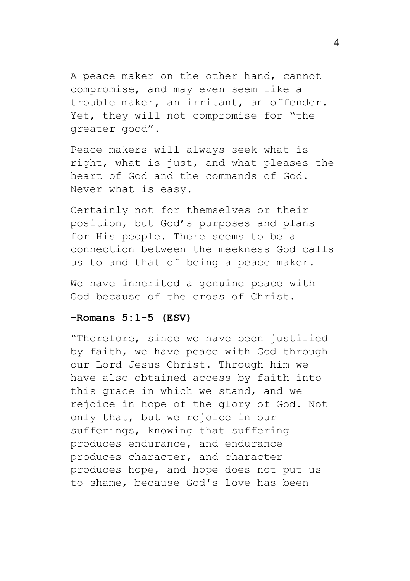A peace maker on the other hand, cannot compromise, and may even seem like a trouble maker, an irritant, an offender. Yet, they will not compromise for "the greater good".

Peace makers will always seek what is right, what is just, and what pleases the heart of God and the commands of God. Never what is easy.

Certainly not for themselves or their position, but God's purposes and plans for His people. There seems to be a connection between the meekness God calls us to and that of being a peace maker.

We have inherited a genuine peace with God because of the cross of Christ.

### **-Romans 5:1-5 (ESV)**

"Therefore, since we have been justified by faith, we have peace with God through our Lord Jesus Christ. Through him we have also obtained access by faith into this grace in which we stand, and we rejoice in hope of the glory of God. Not only that, but we rejoice in our sufferings, knowing that suffering produces endurance, and endurance produces character, and character produces hope, and hope does not put us to shame, because God's love has been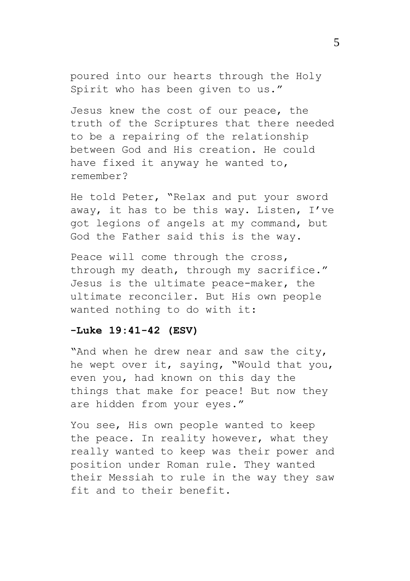poured into our hearts through the Holy Spirit who has been given to us."

Jesus knew the cost of our peace, the truth of the Scriptures that there needed to be a repairing of the relationship between God and His creation. He could have fixed it anyway he wanted to, remember?

He told Peter, "Relax and put your sword away, it has to be this way. Listen, I've got legions of angels at my command, but God the Father said this is the way.

Peace will come through the cross, through my death, through my sacrifice." Jesus is the ultimate peace-maker, the ultimate reconciler. But His own people wanted nothing to do with it:

# **-Luke 19:41-42 (ESV)**

"And when he drew near and saw the city, he wept over it, saying, "Would that you, even you, had known on this day the things that make for peace! But now they are hidden from your eyes."

You see, His own people wanted to keep the peace. In reality however, what they really wanted to keep was their power and position under Roman rule. They wanted their Messiah to rule in the way they saw fit and to their benefit.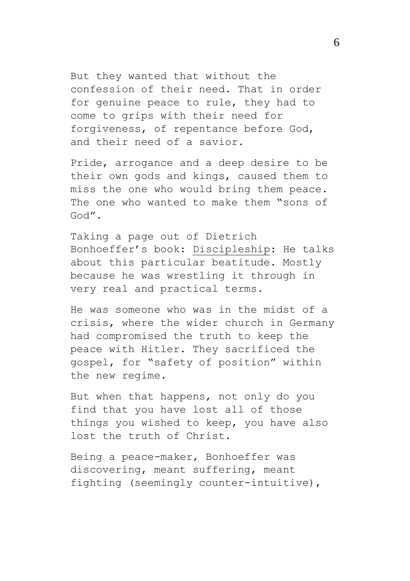But they wanted that without the confession of their need. That in order for genuine peace to rule, they had to come to grips with their need for forgiveness, of repentance before God, and their need of a savior.

Pride, arrogance and a deep desire to be their own gods and kings, caused them to miss the one who would bring them peace. The one who wanted to make them "sons of God".

Taking a page out of Dietrich Bonhoeffer's book: Discipleship: He talks about this particular beatitude. Mostly because he was wrestling it through in very real and practical terms.

He was someone who was in the midst of a crisis, where the wider church in Germany had compromised the truth to keep the peace with Hitler. They sacrificed the gospel, for "safety of position" within the new regime.

But when that happens, not only do you find that you have lost all of those things you wished to keep, you have also lost the truth of Christ.

Being a peace-maker, Bonhoeffer was discovering, meant suffering, meant fighting (seemingly counter-intuitive),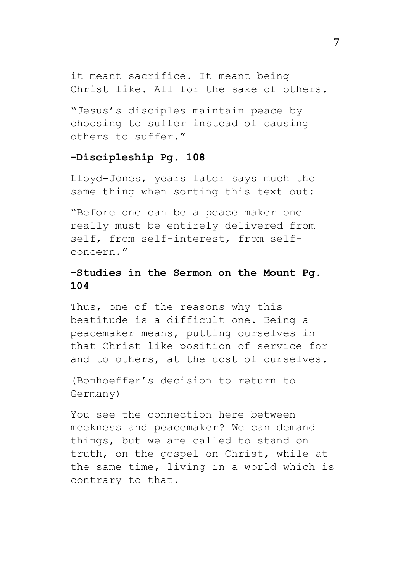it meant sacrifice. It meant being Christ-like. All for the sake of others.

"Jesus's disciples maintain peace by choosing to suffer instead of causing others to suffer."

## **-Discipleship Pg. 108**

Lloyd-Jones, years later says much the same thing when sorting this text out:

"Before one can be a peace maker one really must be entirely delivered from self, from self-interest, from selfconcern."

# **-Studies in the Sermon on the Mount Pg. 104**

Thus, one of the reasons why this beatitude is a difficult one. Being a peacemaker means, putting ourselves in that Christ like position of service for and to others, at the cost of ourselves.

(Bonhoeffer's decision to return to Germany)

You see the connection here between meekness and peacemaker? We can demand things, but we are called to stand on truth, on the gospel on Christ, while at the same time, living in a world which is contrary to that.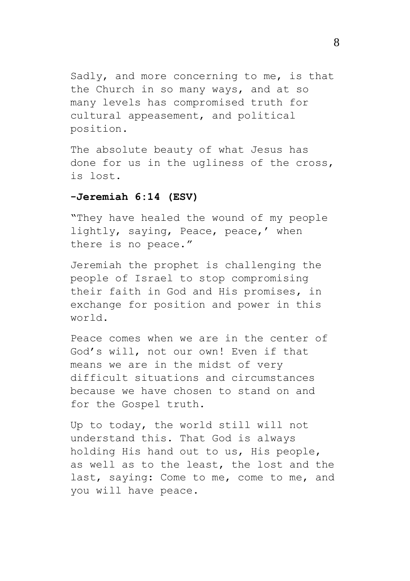Sadly, and more concerning to me, is that the Church in so many ways, and at so many levels has compromised truth for cultural appeasement, and political position.

The absolute beauty of what Jesus has done for us in the ugliness of the cross, is lost.

### **-Jeremiah 6:14 (ESV)**

"They have healed the wound of my people lightly, saying, Peace, peace,' when there is no peace."

Jeremiah the prophet is challenging the people of Israel to stop compromising their faith in God and His promises, in exchange for position and power in this world.

Peace comes when we are in the center of God's will, not our own! Even if that means we are in the midst of very difficult situations and circumstances because we have chosen to stand on and for the Gospel truth.

Up to today, the world still will not understand this. That God is always holding His hand out to us, His people, as well as to the least, the lost and the last, saying: Come to me, come to me, and you will have peace.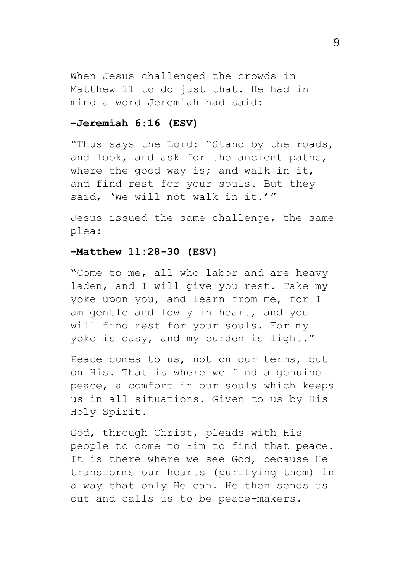When Jesus challenged the crowds in Matthew 11 to do just that. He had in mind a word Jeremiah had said:

# **-Jeremiah 6:16 (ESV)**

"Thus says the Lord: "Stand by the roads, and look, and ask for the ancient paths, where the good way is; and walk in it, and find rest for your souls. But they said, 'We will not walk in it.'"

Jesus issued the same challenge, the same plea:

### **-Matthew 11:28-30 (ESV)**

"Come to me, all who labor and are heavy laden, and I will give you rest. Take my yoke upon you, and learn from me, for I am gentle and lowly in heart, and you will find rest for your souls. For my yoke is easy, and my burden is light."

Peace comes to us, not on our terms, but on His. That is where we find a genuine peace, a comfort in our souls which keeps us in all situations. Given to us by His Holy Spirit.

God, through Christ, pleads with His people to come to Him to find that peace. It is there where we see God, because He transforms our hearts (purifying them) in a way that only He can. He then sends us out and calls us to be peace-makers.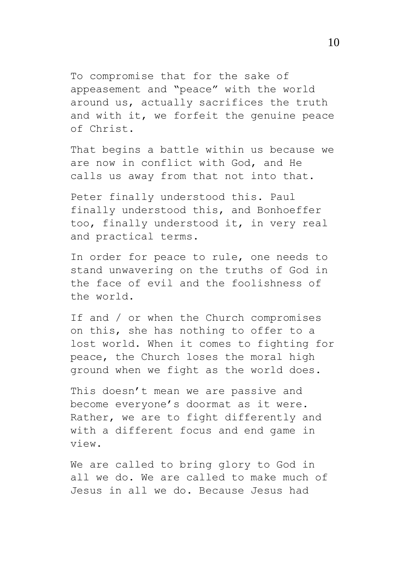To compromise that for the sake of appeasement and "peace" with the world around us, actually sacrifices the truth and with it, we forfeit the genuine peace of Christ.

That begins a battle within us because we are now in conflict with God, and He calls us away from that not into that.

Peter finally understood this. Paul finally understood this, and Bonhoeffer too, finally understood it, in very real and practical terms.

In order for peace to rule, one needs to stand unwavering on the truths of God in the face of evil and the foolishness of the world.

If and / or when the Church compromises on this, she has nothing to offer to a lost world. When it comes to fighting for peace, the Church loses the moral high ground when we fight as the world does.

This doesn't mean we are passive and become everyone's doormat as it were. Rather, we are to fight differently and with a different focus and end game in view.

We are called to bring glory to God in all we do. We are called to make much of Jesus in all we do. Because Jesus had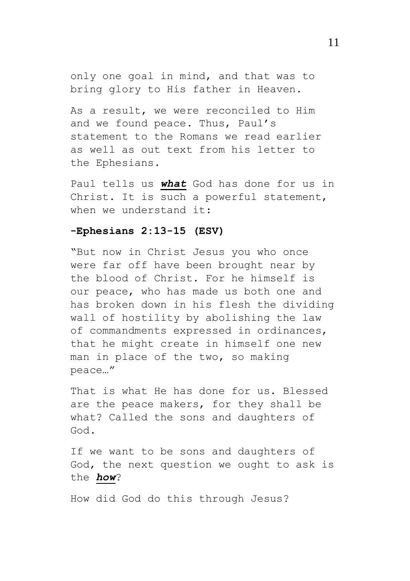only one goal in mind, and that was to bring glory to His father in Heaven.

As a result, we were reconciled to Him and we found peace. Thus, Paul's statement to the Romans we read earlier as well as out text from his letter to the Ephesians.

Paul tells us *what* God has done for us in Christ. It is such a powerful statement, when we understand it:

### **-Ephesians 2:13-15 (ESV)**

"But now in Christ Jesus you who once were far off have been brought near by the blood of Christ. For he himself is our peace, who has made us both one and has broken down in his flesh the dividing wall of hostility by abolishing the law of commandments expressed in ordinances, that he might create in himself one new man in place of the two, so making peace…"

That is what He has done for us. Blessed are the peace makers, for they shall be what? Called the sons and daughters of God.

If we want to be sons and daughters of God, the next question we ought to ask is the *how*?

How did God do this through Jesus?

11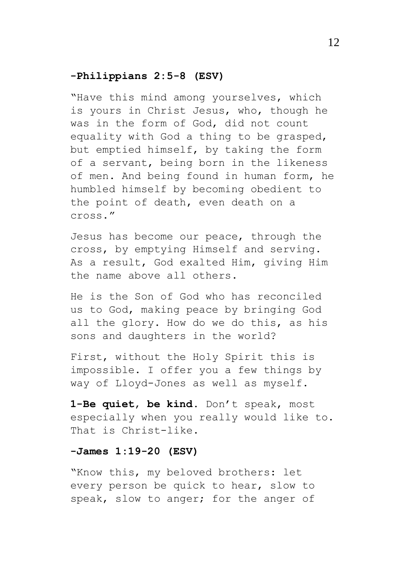### **-Philippians 2:5-8 (ESV)**

"Have this mind among yourselves, which is yours in Christ Jesus, who, though he was in the form of God, did not count equality with God a thing to be grasped, but emptied himself, by taking the form of a servant, being born in the likeness of men. And being found in human form, he humbled himself by becoming obedient to the point of death, even death on a cross."

Jesus has become our peace, through the cross, by emptying Himself and serving. As a result, God exalted Him, giving Him the name above all others.

He is the Son of God who has reconciled us to God, making peace by bringing God all the glory. How do we do this, as his sons and daughters in the world?

First, without the Holy Spirit this is impossible. I offer you a few things by way of Lloyd-Jones as well as myself.

**1-Be quiet**, **be kind**. Don't speak, most especially when you really would like to. That is Christ-like.

### **-James 1:19-20 (ESV)**

"Know this, my beloved brothers: let every person be quick to hear, slow to speak, slow to anger; for the anger of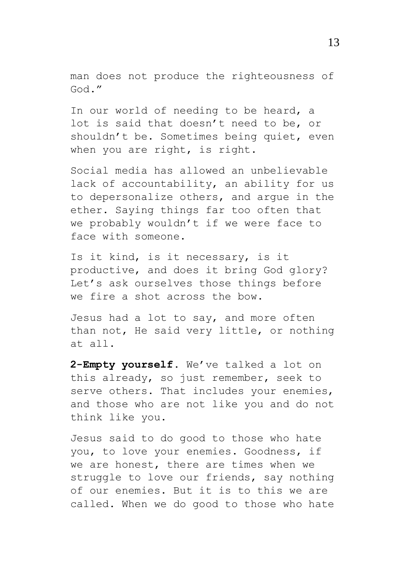man does not produce the righteousness of God."

In our world of needing to be heard, a lot is said that doesn't need to be, or shouldn't be. Sometimes being quiet, even when you are right, is right.

Social media has allowed an unbelievable lack of accountability, an ability for us to depersonalize others, and argue in the ether. Saying things far too often that we probably wouldn't if we were face to face with someone.

Is it kind, is it necessary, is it productive, and does it bring God glory? Let's ask ourselves those things before we fire a shot across the bow.

Jesus had a lot to say, and more often than not, He said very little, or nothing at all.

**2-Empty yourself**. We've talked a lot on this already, so just remember, seek to serve others. That includes your enemies, and those who are not like you and do not think like you.

Jesus said to do good to those who hate you, to love your enemies. Goodness, if we are honest, there are times when we struggle to love our friends, say nothing of our enemies. But it is to this we are called. When we do good to those who hate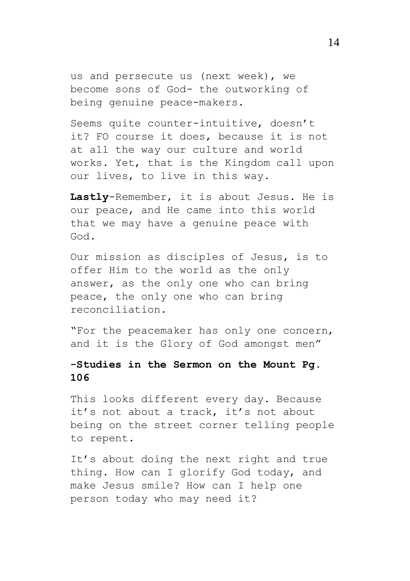us and persecute us (next week), we become sons of God- the outworking of being genuine peace-makers.

Seems quite counter-intuitive, doesn't it? FO course it does, because it is not at all the way our culture and world works. Yet, that is the Kingdom call upon our lives, to live in this way.

**Lastly**-Remember, it is about Jesus. He is our peace, and He came into this world that we may have a genuine peace with God.

Our mission as disciples of Jesus, is to offer Him to the world as the only answer, as the only one who can bring peace, the only one who can bring reconciliation.

"For the peacemaker has only one concern, and it is the Glory of God amongst men"

# **-Studies in the Sermon on the Mount Pg. 106**

This looks different every day. Because it's not about a track, it's not about being on the street corner telling people to repent.

It's about doing the next right and true thing. How can I glorify God today, and make Jesus smile? How can I help one person today who may need it?